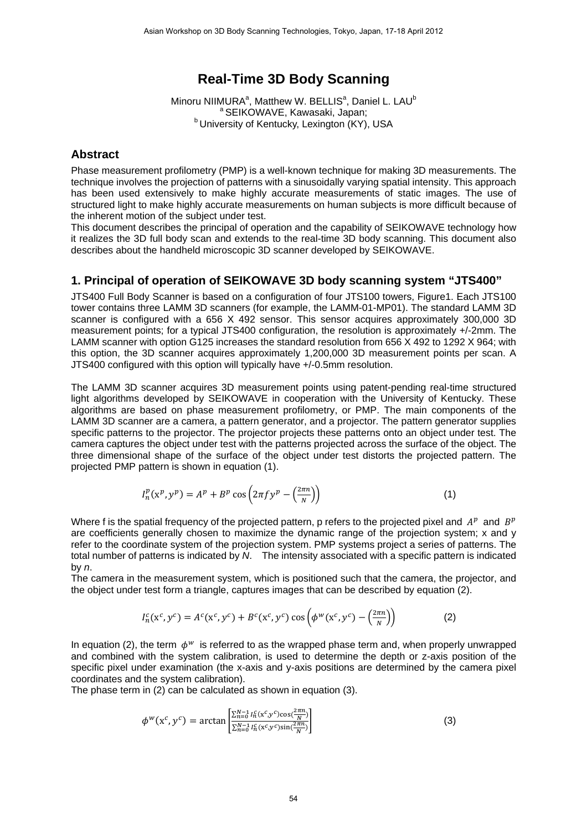# **Real-Time 3D Body Scanning**

Minoru NIIMURA<sup>a</sup>, Matthew W. BELLIS<sup>a</sup>, Daniel L. LAU<sup>b</sup> <sup>a</sup> SEIKOWAVE, Kawasaki, Japan;<br><sup>b</sup> University of Kentucky, Lexington (KY), USA

#### **Abstract**

Phase measurement profilometry (PMP) is a well-known technique for making 3D measurements. The technique involves the projection of patterns with a sinusoidally varying spatial intensity. This approach has been used extensively to make highly accurate measurements of static images. The use of structured light to make highly accurate measurements on human subjects is more difficult because of the inherent motion of the subject under test.

This document describes the principal of operation and the capability of SEIKOWAVE technology how it realizes the 3D full body scan and extends to the real-time 3D body scanning. This document also describes about the handheld microscopic 3D scanner developed by SEIKOWAVE.

#### **1. Principal of operation of SEIKOWAVE 3D body scanning system "JTS400"**

JTS400 Full Body Scanner is based on a configuration of four JTS100 towers, Figure1. Each JTS100 tower contains three LAMM 3D scanners (for example, the LAMM-01-MP01). The standard LAMM 3D scanner is configured with a 656 X 492 sensor. This sensor acquires approximately 300,000 3D measurement points; for a typical JTS400 configuration, the resolution is approximately +/-2mm. The LAMM scanner with option G125 increases the standard resolution from 656 X 492 to 1292 X 964; with this option, the 3D scanner acquires approximately 1,200,000 3D measurement points per scan. A JTS400 configured with this option will typically have +/-0.5mm resolution.

The LAMM 3D scanner acquires 3D measurement points using patent-pending real-time structured light algorithms developed by SEIKOWAVE in cooperation with the University of Kentucky. These algorithms are based on phase measurement profilometry, or PMP. The main components of the LAMM 3D scanner are a camera, a pattern generator, and a projector. The pattern generator supplies specific patterns to the projector. The projector projects these patterns onto an object under test. The camera captures the object under test with the patterns projected across the surface of the object. The three dimensional shape of the surface of the object under test distorts the projected pattern. The projected PMP pattern is shown in equation (1).

$$
I_n^p(\mathbf{x}^p, \mathbf{y}^p) = A^p + B^p \cos\left(2\pi f \mathbf{y}^p - \left(\frac{2\pi n}{N}\right)\right) \tag{1}
$$

Where f is the spatial frequency of the projected pattern, p refers to the projected pixel and  $A^p$  and  $B^p$ are coefficients generally chosen to maximize the dynamic range of the projection system; x and y refer to the coordinate system of the projection system. PMP systems project a series of patterns. The total number of patterns is indicated by *N*. The intensity associated with a specific pattern is indicated by *n*.

The camera in the measurement system, which is positioned such that the camera, the projector, and the object under test form a triangle, captures images that can be described by equation (2).

$$
I_n^c(\mathbf{x}^c, \mathbf{y}^c) = A^c(\mathbf{x}^c, \mathbf{y}^c) + B^c(\mathbf{x}^c, \mathbf{y}^c) \cos\left(\phi^w(\mathbf{x}^c, \mathbf{y}^c) - \left(\frac{2\pi n}{N}\right)\right) \tag{2}
$$

In equation (2), the term  $\phi^w$  is referred to as the wrapped phase term and, when properly unwrapped and combined with the system calibration, is used to determine the depth or z-axis position of the specific pixel under examination (the x-axis and y-axis positions are determined by the camera pixel coordinates and the system calibration).

The phase term in (2) can be calculated as shown in equation (3).

$$
\phi^{w}(x^{c}, y^{c}) = \arctan\left[\frac{\sum_{n=0}^{N-1} I_{n}^{c}(x^{c}, y^{c})\cos(\frac{2\pi n}{N})}{\sum_{n=0}^{N-1} I_{n}^{c}(x^{c}, y^{c})\sin(\frac{2\pi n}{N})}\right]
$$
(3)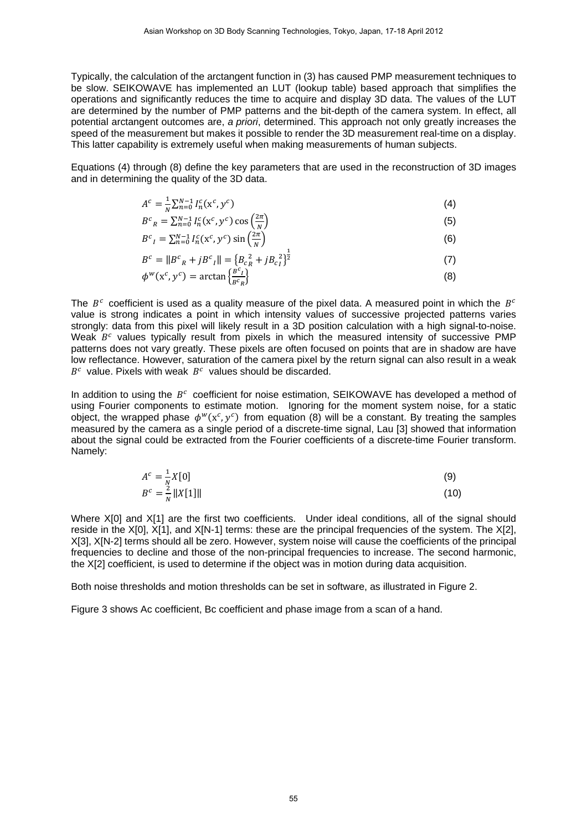Typically, the calculation of the arctangent function in (3) has caused PMP measurement techniques to be slow. SEIKOWAVE has implemented an LUT (lookup table) based approach that simplifies the operations and significantly reduces the time to acquire and display 3D data. The values of the LUT are determined by the number of PMP patterns and the bit-depth of the camera system. In effect, all potential arctangent outcomes are, *a priori*, determined. This approach not only greatly increases the speed of the measurement but makes it possible to render the 3D measurement real-time on a display. This latter capability is extremely useful when making measurements of human subjects.

Equations (4) through (8) define the key parameters that are used in the reconstruction of 3D images and in determining the quality of the 3D data.

$$
A^{c} = \frac{1}{N} \sum_{n=0}^{N-1} I_{n}^{c}(x^{c}, y^{c})
$$
\n(4)

$$
B^{c}{}_{R} = \sum_{n=0}^{N-1} I_{n}^{c}(x^{c}, y^{c}) \cos\left(\frac{2\pi}{N}\right)
$$
 (5)

$$
B^{c}{}_{I} = \sum_{n=0}^{N-1} I_{n}^{c}(x^{c}, y^{c}) \sin\left(\frac{2\pi}{N}\right)
$$
 (6)

$$
B^{c} = ||B^{c}{}_{R} + jB^{c}{}_{I}|| = \{B_{c}^{2} + jB_{c}^{2}\}^{\frac{1}{2}}
$$
  
\n
$$
\phi^{w}(x^{c}, y^{c}) = \arctan\left(\frac{B^{c}I}{B^{c}R}\right)
$$
\n(8)

The  $B^c$  coefficient is used as a quality measure of the pixel data. A measured point in which the  $B^c$ value is strong indicates a point in which intensity values of successive projected patterns varies strongly: data from this pixel will likely result in a 3D position calculation with a high signal-to-noise. Weak  $B<sup>c</sup>$  values typically result from pixels in which the measured intensity of successive PMP patterns does not vary greatly. These pixels are often focused on points that are in shadow are have low reflectance. However, saturation of the camera pixel by the return signal can also result in a weak  $B<sup>c</sup>$  value. Pixels with weak  $B<sup>c</sup>$  values should be discarded.

In addition to using the  $B<sup>c</sup>$  coefficient for noise estimation, SEIKOWAVE has developed a method of using Fourier components to estimate motion. Ignoring for the moment system noise, for a static object, the wrapped phase  $\phi^w(x^c, y^c)$  from equation (8) will be a constant. By treating the samples measured by the camera as a single period of a discrete-time signal, Lau [3] showed that information about the signal could be extracted from the Fourier coefficients of a discrete-time Fourier transform. Namely:

$$
A^{c} = \frac{1}{N} X[0]
$$
  
\n
$$
B^{c} = \frac{2}{N} ||X[1]||
$$
\n(9)

Where X[0] and X[1] are the first two coefficients. Under ideal conditions, all of the signal should reside in the X[0], X[1], and X[N-1] terms: these are the principal frequencies of the system. The X[2], X[3], X[N-2] terms should all be zero. However, system noise will cause the coefficients of the principal frequencies to decline and those of the non-principal frequencies to increase. The second harmonic, the X[2] coefficient, is used to determine if the object was in motion during data acquisition.

Both noise thresholds and motion thresholds can be set in software, as illustrated in Figure 2.

Figure 3 shows Ac coefficient, Bc coefficient and phase image from a scan of a hand.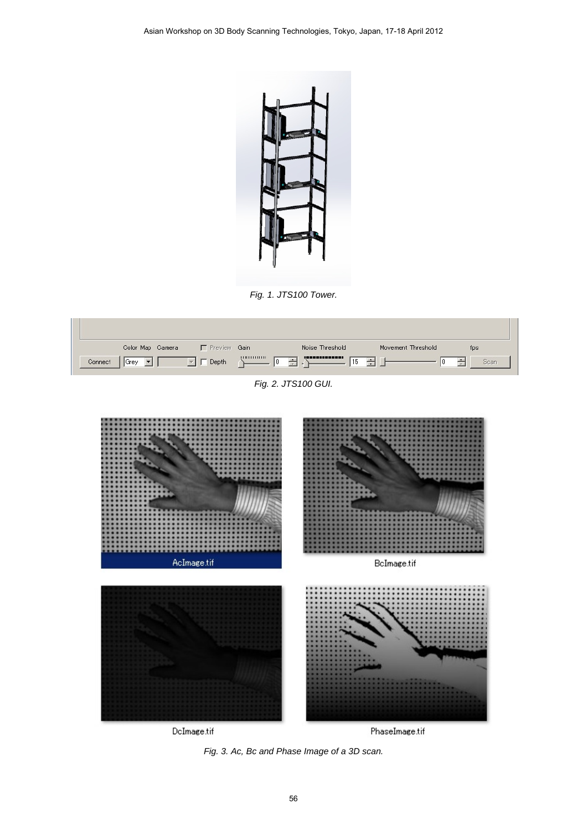

*Fig. 1. JTS100 Tower.* 

| Color Map Camera | <b>F</b> Preview Gain |                      | Noise Threshold | Movement Threshold | tps  |
|------------------|-----------------------|----------------------|-----------------|--------------------|------|
| Connect<br>Grey  | Depth                 | ---------------<br>÷ | ,,,,,,,,,,,,,,  | ÷                  | Scan |

*Fig. 2. JTS100 GUI.* 



*Fig. 3. Ac, Bc and Phase Image of a 3D scan.*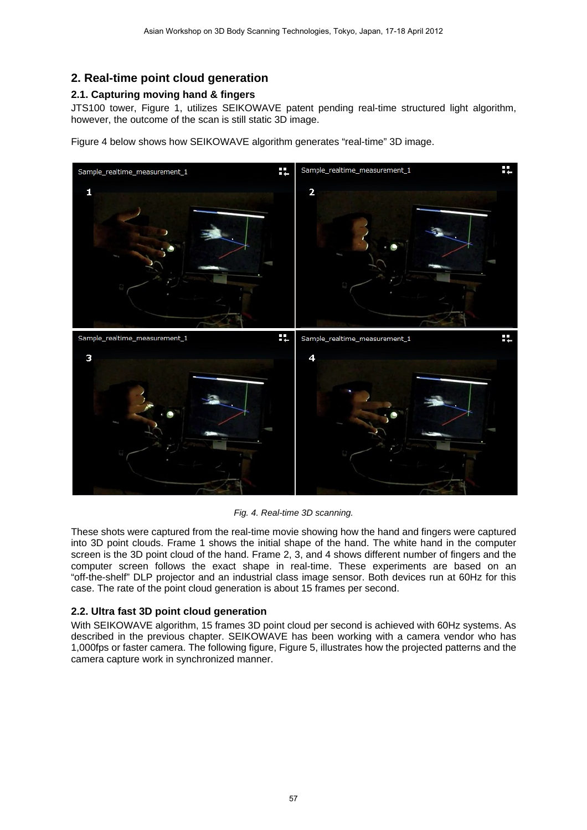## **2. Real-time point cloud generation**

#### **2.1. Capturing moving hand & fingers**

JTS100 tower, Figure 1, utilizes SEIKOWAVE patent pending real-time structured light algorithm, however, the outcome of the scan is still static 3D image.

Figure 4 below shows how SEIKOWAVE algorithm generates "real-time" 3D image.



*Fig. 4. Real-time 3D scanning.* 

These shots were captured from the real-time movie showing how the hand and fingers were captured into 3D point clouds. Frame 1 shows the initial shape of the hand. The white hand in the computer screen is the 3D point cloud of the hand. Frame 2, 3, and 4 shows different number of fingers and the computer screen follows the exact shape in real-time. These experiments are based on an "off-the-shelf" DLP projector and an industrial class image sensor. Both devices run at 60Hz for this case. The rate of the point cloud generation is about 15 frames per second.

#### **2.2. Ultra fast 3D point cloud generation**

With SEIKOWAVE algorithm, 15 frames 3D point cloud per second is achieved with 60Hz systems. As described in the previous chapter. SEIKOWAVE has been working with a camera vendor who has 1,000fps or faster camera. The following figure, Figure 5, illustrates how the projected patterns and the camera capture work in synchronized manner.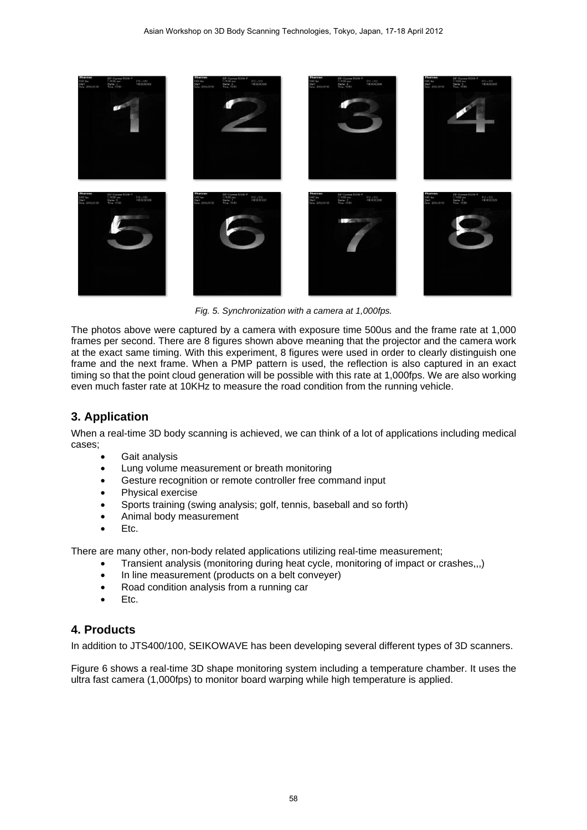

*Fig. 5. Synchronization with a camera at 1,000fps.* 

The photos above were captured by a camera with exposure time 500us and the frame rate at 1,000 frames per second. There are 8 figures shown above meaning that the projector and the camera work at the exact same timing. With this experiment, 8 figures were used in order to clearly distinguish one frame and the next frame. When a PMP pattern is used, the reflection is also captured in an exact timing so that the point cloud generation will be possible with this rate at 1,000fps. We are also working even much faster rate at 10KHz to measure the road condition from the running vehicle.

## **3. Application**

When a real-time 3D body scanning is achieved, we can think of a lot of applications including medical cases;

- Gait analysis
- Lung volume measurement or breath monitoring
- Gesture recognition or remote controller free command input
- Physical exercise
- Sports training (swing analysis; golf, tennis, baseball and so forth)
- Animal body measurement
- Etc.

There are many other, non-body related applications utilizing real-time measurement;

- Transient analysis (monitoring during heat cycle, monitoring of impact or crashes,,,)
- In line measurement (products on a belt conveyer)
- Road condition analysis from a running car
- Etc.

### **4. Products**

In addition to JTS400/100, SEIKOWAVE has been developing several different types of 3D scanners.

Figure 6 shows a real-time 3D shape monitoring system including a temperature chamber. It uses the ultra fast camera (1,000fps) to monitor board warping while high temperature is applied.